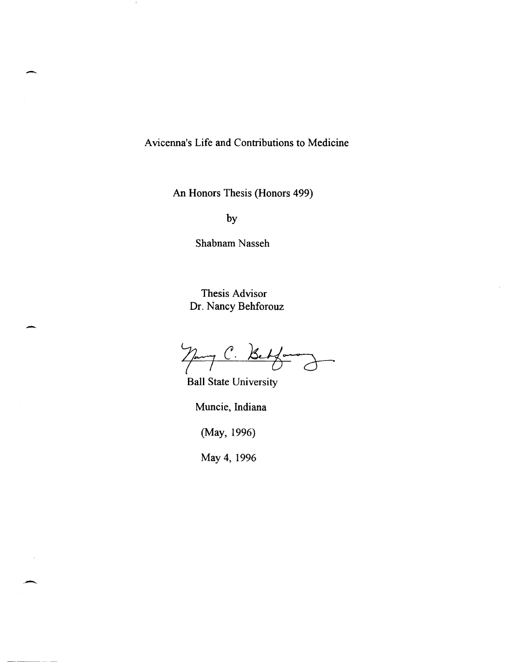A vicenna's Life and Contributions to Medicine

An Honors Thesis (Honors 499)

by

-

 $\cdot$  !

.-

Shabnam Nasseh

Thesis Advisor Dr. Nancy Behforouz

 $7$ pm C. Betform

Ball State University

Muncie, Indiana

(May, 1996)

May 4,1996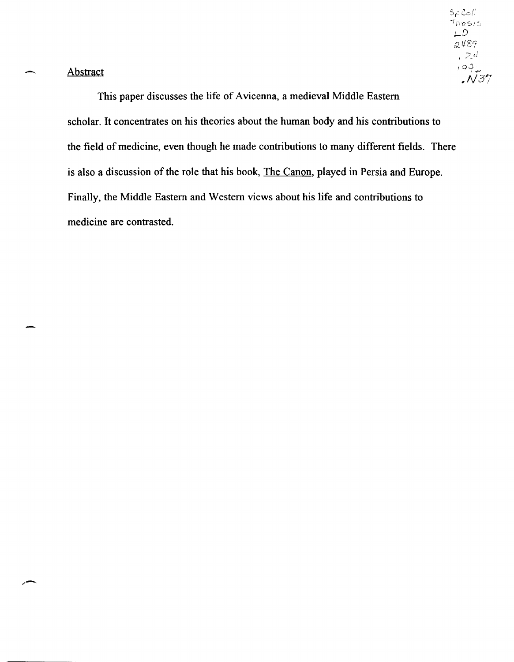Abstract

-

",-

This paper discusses the life of Avicenna, a medieval Middle Eastern scholar. It concentrates on his theories about the human body and his contributions to the field of medicine, even though he made contributions to many different fields. There is also a discussion of the role that his book, The Canon, played in Persia and Europe. Finally, the Middle Eastern and Western views about his life and contributions to medicine are contrasted.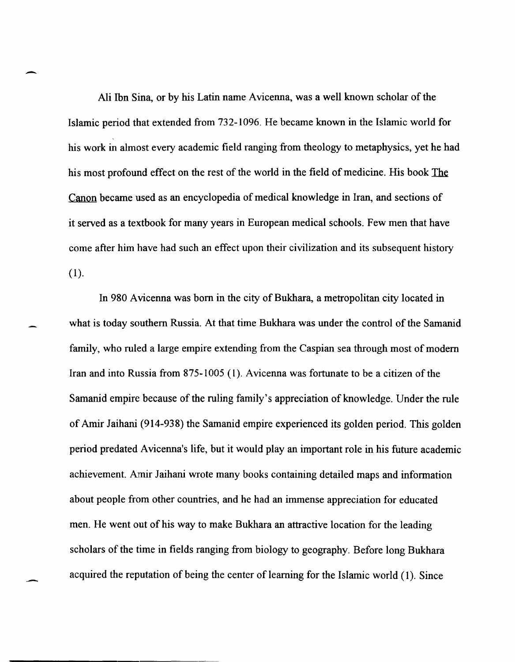Ali Ibn Sina, or by his Latin name A vicenna, was a well known scholar of the Islamic period that extended from 732-1096. He became known in the Islamic world for his work in almost every academic field ranging from theology to metaphysics, yet he had his most profound effect on the rest of the world in the field of medicine. His book The Canon became used as an encyclopedia of medical knowledge in Iran, and sections of it served as a textbook for many years in European medical schools. Few men that have come after him have had such an effect upon their civilization and its subsequent history  $(1)$ .

-

-

In 980 A vicenna was born in the city of Bukhara, a metropolitan city located in what is today southern Russia. At that time Bukhara was under the control of the Samanid family, who ruled a large empire extending from the Caspian sea through most of modem Iran and into Russia from 875-1005 (I). Avicenna was fortunate to be a citizen of the Samanid empire because of the ruling family's appreciation of knowledge. Under the rule of Amir laihani (914-938) the Samanid empire experienced its golden period. This golden period predated A vicenna's life, but it would play an important role in his future academic achievement. Amir laihani wrote many books containing detailed maps and information about people from other countries, and he had an immense appreciation for educated men. He went out of his way to make Bukhara an attractive location for the leading scholars of the time in fields ranging from biology to geography. Before long Bukhara acquired the reputation of being the center of learning for the Islamic world (1). Since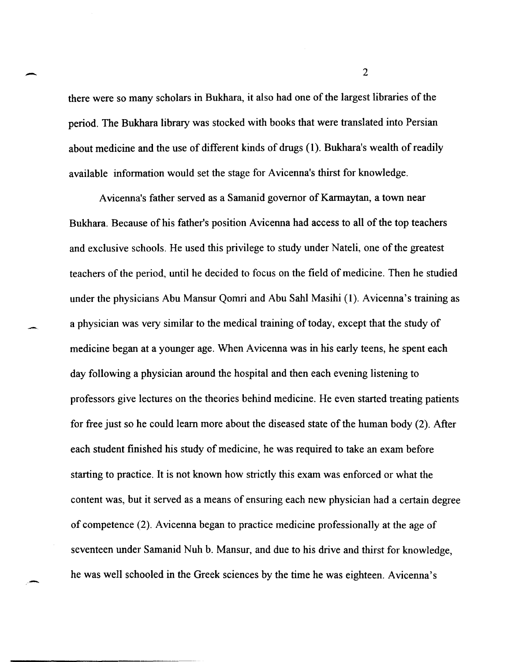there were so many scholars in Bukhara, it also had one of the largest libraries of the period. The Bukhara library was stocked with books that were translated into Persian about medicine and the use of different kinds of drugs (1). Bukhara's wealth of readily available information would set the stage for A vicenna's thirst for knowledge.

-

-.

-

A vicenna's father served as a Samanid governor of Karmaytan, a town near Bukhara. Because of his father's position A vicenna had access to all of the top teachers and exclusive schools. He used this privilege to study under Nateli, one of the greatest teachers of the period, until he decided to focus on the field of medicine. Then he studied under the physicians Abu Mansur Qomri and Abu Sahl Masihi (1). Avicenna's training as a physician was very similar to the medical training of today, except that the study of medicine began at a younger age. When A vicenna was in his early teens, he spent each day following a physician around the hospital and then each evening listening to professors give lectures on the theories behind medicine. He even started treating patients for free just so he could learn more about the diseased state of the human body (2). After each student finished his study of medicine, he was required to take an exam before starting to practice. It is not known how strictly this exam was enforced or what the content was, but it served as a means of ensuring each new physician had a certain degree of competence (2). Avicenna began to practice medicine professionally at the age of seventeen under Samanid Nuh b. Mansur, and due to his drive and thirst for knowledge, he was well schooled in the Greek sciences by the time he was eighteen. Avicenna's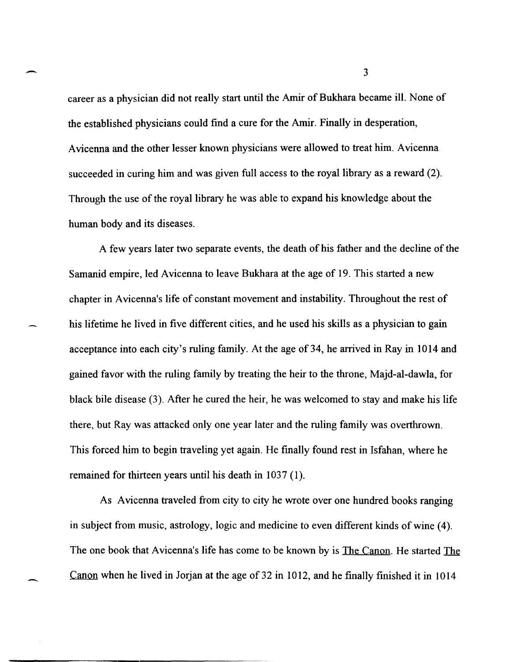career as a physician did not really start until the Amir of Bukhara became ill. None of the established physicians could find a cure for the Amir. Finally in desperation, Avicenna and the other lesser known physicians were allowed to treat him. Avicenna succeeded in curing him and was given full access to the royal library as a reward (2). Through the use of the royal library he was able to expand his knowledge about the human body and its diseases.

-

--

A few years later two separate events, the death of his father and the decline of the Samanid empire, led Avicenna to leave Bukhara at the age of 19. This started a new chapter in Avicenna's life of constant movement and instability. Throughout the rest of his lifetime he lived in five different cities, and he used his skills as a physician to gain acceptance into each city's ruling family. At the age of 34, he arrived in Ray in 1014 and gained favor with the ruling family by treating the heir to the throne, Majd-al-dawla, for black bile disease (3). After he cured the heir, he was welcomed to stay and make his life there, but Ray was attacked only one year later and the ruling family was overthrown. This forced him to begin traveling yet again. He finally found rest in Isfahan, where he remained for thirteen years until his death in 1037 (1).

As Avicenna traveled from city to city he wrote over one hundred books ranging in subject from music, astrology, logic and medicine to even different kinds of wine (4). The one book that Avicenna's life has come to be known by is The Canon. He started The Canon when he lived in Jorjan at the age of 32 in 1012, and he finally finished it in 1014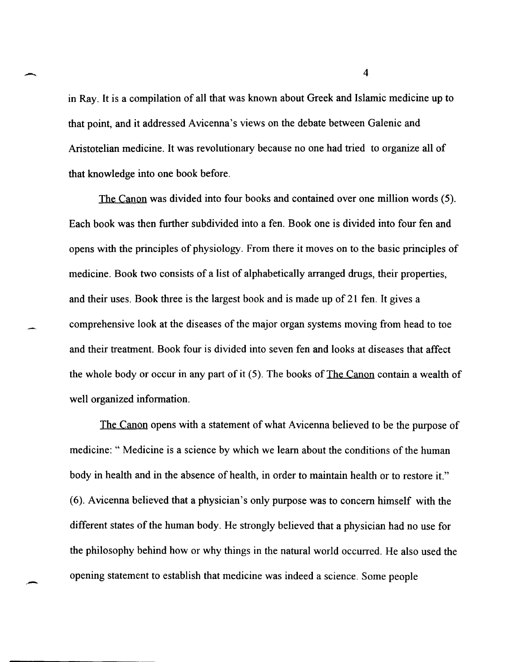in Ray. It is a compilation of all that was known about Greek and Islamic medicine up to that point, and it addressed Avicenna's views on the debate between Galenic and Aristotelian medicine. It was revolutionary because no one had tried to organize all of that knowledge into one book before.

The Canon was divided into four books and contained over one million words (5). Each book was then further subdivided into a fen. Book one is divided into four fen and opens with the principles of physiology. From there it moves on to the basic principles of medicine. Book two consists of a list of alphabetically arranged drugs, their properties, and their uses. Book three is the largest book and is made up of 21 fen. It gives a comprehensive look at the diseases of the major organ systems moving from head to toe and their treatment. Book four is divided into seven fen and looks at diseases that affect the whole body or occur in any part of it (5). The books of The Canon contain a wealth of well organized information.

The Canon opens with a statement of what A vicenna believed to be the purpose of medicine: " Medicine is a science by which we learn about the conditions of the human body in health and in the absence of health, in order to maintain health or to restore it." (6). Avicenna believed that a physician's only purpose was to concern himself with the different states of the human body. He strongly believed that a physician had no use for the philosophy behind how or why things in the natural world occurred. He also used the opening statement to establish that medicine was indeed a science. Some people

-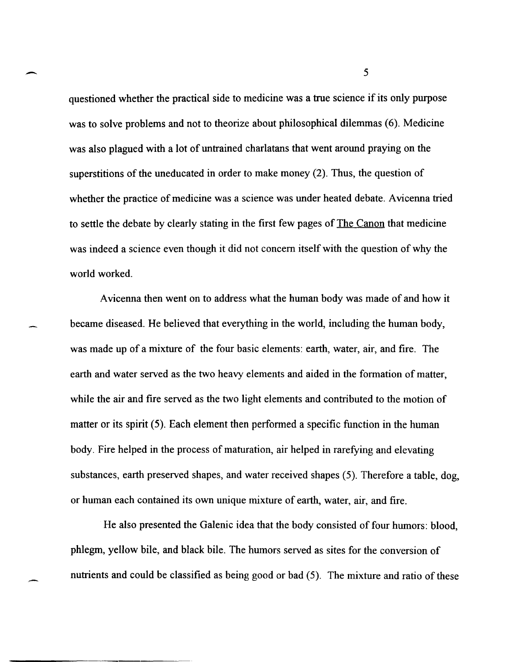questioned whether the practical side to medicine was a true science if its only purpose was to solve problems and not to theorize about philosophical dilemmas (6). Medicine was also plagued with a lot of untrained charlatans that went around praying on the superstitions of the uneducated in order to make money (2). Thus, the question of whether the practice of medicine was a science was under heated debate. A vicenna tried to settle the debate by clearly stating in the first few pages of The Canon that medicine was indeed a science even though it did not concern itself with the question of why the world worked.

A vicenna then went on to address what the human body was made of and how it became diseased. He believed that everything in the world, including the human body, was made up of a mixture of the four basic elements: earth, water, air, and fire. The earth and water served as the two heavy elements and aided in the formation of matter, while the air and fire served as the two light elements and contributed to the motion of matter or its spirit (5). Each element then performed a specific function in the human body. Fire helped in the process of maturation, air helped in rarefying and elevating substances, earth preserved shapes, and water received shapes (5). Therefore a table, dog, or human each contained its own unique mixture of earth, water, air, and fire.

He also presented the Galenic idea that the body consisted of four humors: blood, phlegm, yellow bile, and black bile. The humors served as sites for the conversion of nutrients and could be classified as being good or bad (5). The mixture and ratio of these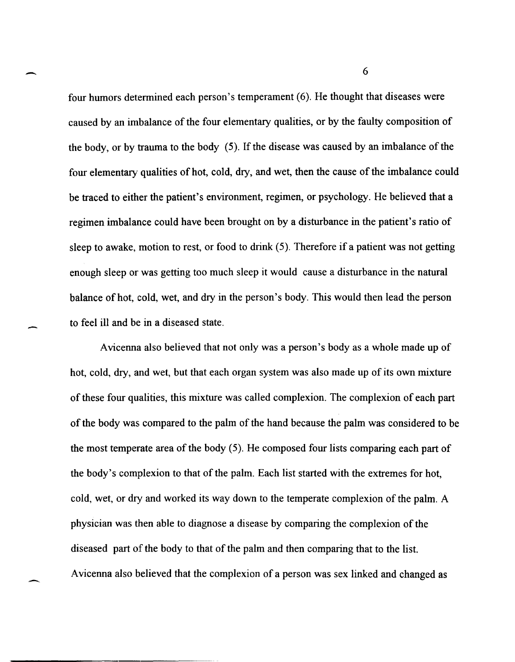four humors determined each person's temperament (6). He thought that diseases were caused by an imbalance of the four elementary qualities, or by the faulty composition of the body, or by trauma to the body (5). If the disease was caused by an imbalance of the four elementary qualities of hot, cold, dry, and wet, then the cause of the imbalance could be traced to either the patient's environment, regimen, or psychology. He believed that a regimen imbalance could have been brought on by a disturbance in the patient's ratio of sleep to awake, motion to rest, or food to drink (5). Therefore if a patient was not getting enough sleep or was getting too much sleep it would cause a disturbance in the natural balance of hot, cold, wet, and dry in the person's body. This would then lead the person to feel ill and be in a diseased state.

A vicenna also believed that not only was a person's body as a whole made up of hot, cold, dry, and wet, but that each organ system was also made up of its own mixture of these four qualities, this mixture was called complexion. The complexion of each part of the body was compared to the palm of the hand because the palm was considered to be the most temperate area of the body (5). He composed four lists comparing each part of the body's complexion to that of the palm. Each list started with the extremes for hot, cold, wet, or dry and worked its way down to the temperate complexion of the palm. A physician was then able to diagnose a disease by comparing the complexion of the diseased part of the body to that of the palm and then comparing that to the list. A vicenna also believed that the complexion of a person was sex linked and changed as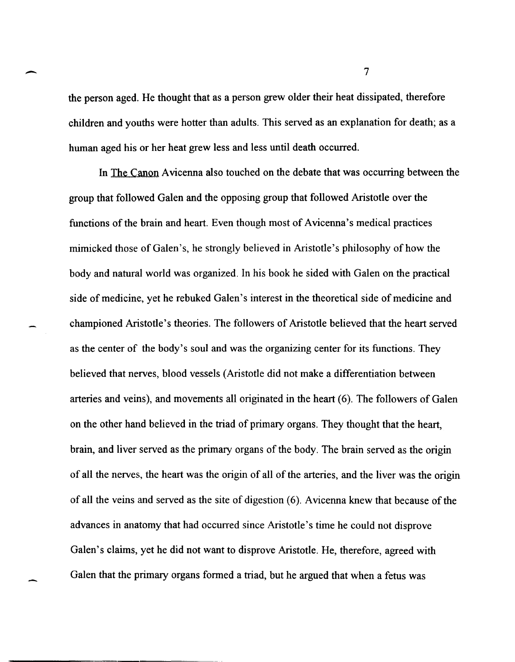the person aged. He thought that as a person grew older their heat dissipated, therefore children and youths were hotter than adults. This served as an explanation for death; as a human aged his or her heat grew less and less until death occurred.

In The Canon A vicenna also touched on the debate that was occurring between the group that followed Galen and the opposing group that followed Aristotle over the functions of the brain and heart. Even though most of Avicenna's medical practices mimicked those of Galen's, he strongly believed in Aristotle's philosophy of how the body and natural world was organized. In his book he sided with Galen on the practical side of medicine, yet he rebuked Galen's interest in the theoretical side of medicine and championed Aristotle's theories. The followers of Aristotle believed that the heart served as the center of the body's soul and was the organizing center for its functions. They believed that nerves, blood vessels (Aristotle did not make a differentiation between arteries and veins), and movements all originated in the heart (6). The followers of Galen on the other hand believed in the triad of primary organs. They thought that the heart, brain, and liver served as the primary organs of the body. The brain served as the origin of all the nerves, the heart was the origin of all of the arteries, and the liver was the origin of all the veins and served as the site of digestion (6). A vicenna knew that because of the advances in anatomy that had occurred since Aristotle's time he could not disprove Galen's claims, yet he did not want to disprove Aristotle. He, therefore, agreed with Galen that the primary organs formed a triad, but he argued that when a fetus was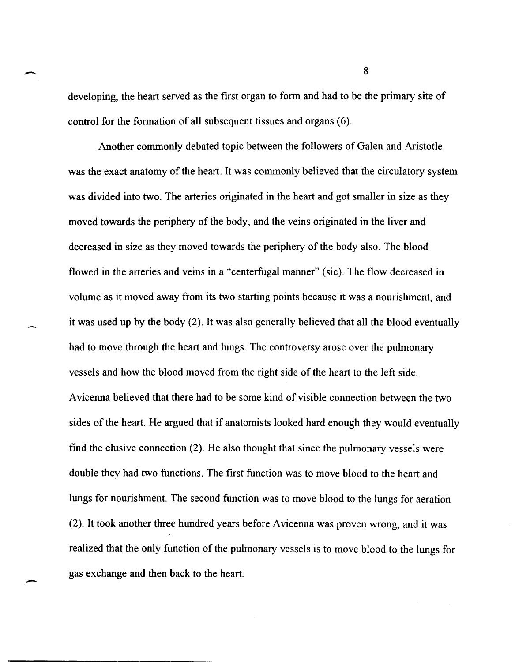developing, the heart served as the first organ to fonn and had to be the primary site of control for the formation of all subsequent tissues and organs (6).

Another commonly debated topic between the followers of Galen and Aristotle was the exact anatomy of the heart. It was commonly believed that the circulatory system was divided into two. The arteries originated in the heart and got smaller in size as they moved towards the periphery of the body, and the veins originated in the liver and decreased in size as they moved towards the periphery of the body also. The blood flowed in the arteries and veins in a "centerfugal manner" (sic). The flow decreased in volume as it moved away from its two starting points because it was a nourishment, and it was used up by the body (2). It was also generally believed that all the blood eventually had to move through the heart and lungs. The controversy arose over the pulmonary vessels and how the blood moved from the right side of the heart to the left side. A vicenna believed that there had to be some kind of visible connection between the two sides of the heart. He argued that if anatomists looked hard enough they would eventually fmd the elusive connection (2). He also thought that since the pulmonary vessels were double they had two functions. The first function was to move blood to the heart and lungs for nourishment. The second function was to move blood to the lungs for aeration (2). It took another three hundred years before Avicenna was proven wrong, and it was realized that the only function of the pulmonary vessels is to move blood to the lungs for gas exchange and then back to the heart.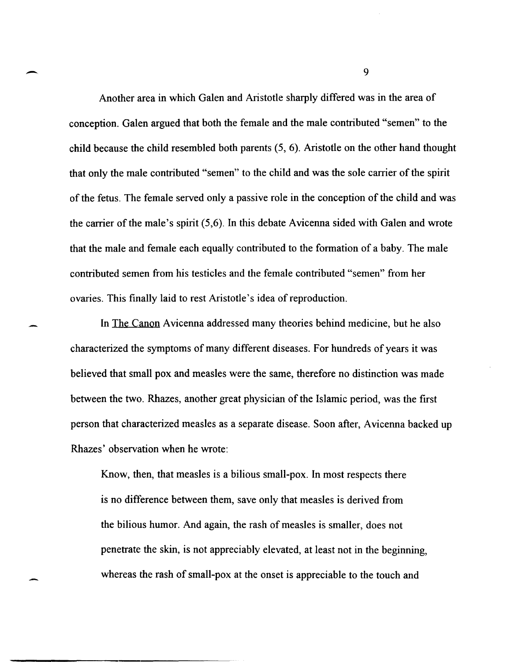Another area in which Galen and Aristotle sharply differed was in the area of conception. Galen argued that both the female and the male contributed "semen" to the child because the child resembled both parents (5, 6). Aristotle on the other hand thought that only the male contributed "semen" to the child and was the sole carrier of the spirit of the fetus. The female served only a passive role in the conception of the child and was the carrier of the male's spirit (5,6). In this debate Avicenna sided with Galen and wrote that the male and female each equally contributed to the formation of a baby. The male contributed semen from his testicles and the female contributed "semen" from her ovaries. This finally laid to rest Aristotle's idea of reproduction.

In The Canon Avicenna addressed many theories behind medicine, but he also characterized the symptoms of many different diseases. For hundreds of years it was believed that small pox and measles were the same, therefore no distinction was made between the two. Rhazes, another great physician of the Islamic period, was the first person that characterized measles as a separate disease. Soon after, Avicenna backed up Rhazes' observation when he wrote:

Know, then, that measles is a bilious small-pox. In most respects there is no difference between them, save only that measles is derived from the bilious humor. And again, the rash of measles is smaller, does not penetrate the skin, is not appreciably elevated, at least not in the beginning, whereas the rash of small-pox at the onset is appreciable to the touch and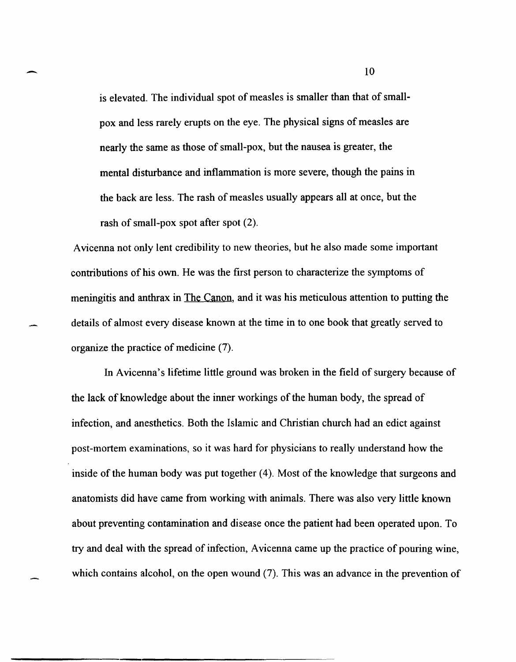is elevated. The individual spot of measles is smaller than that of smallpox and less rarely erupts on the eye. The physical signs of measles are nearly the same as those of small-pox, but the nausea is greater, the mental disturbance and inflammation is more severe, though the pains in the back are less. The rash of measles usually appears all at once, but the rash of small-pox spot after spot (2).

A vicenna not only lent credibility to new theories, but he also made some important contributions of his own. He was the first person to characterize the symptoms of meningitis and anthrax in The Canon, and it was his meticulous attention to putting the details of almost every disease known at the time in to one book that greatly served to organize the practice of medicine (7).

In Avicenna's lifetime little ground was broken in the field of surgery because of the lack of knowledge about the inner workings of the human body, the spread of infection, and anesthetics. Both the Islamic and Christian church had an edict against post-mortem examinations, so it was hard for physicians to really understand how the inside of the human body was put together (4). Most of the knowledge that surgeons and anatomists did have came from working with animals. There was also very little known about preventing contamination and disease once the patient had been operated upon. To try and deal with the spread of infection, A vicenna came up the practice of pouring wine, which contains alcohol, on the open wound (7). This was an advance in the prevention of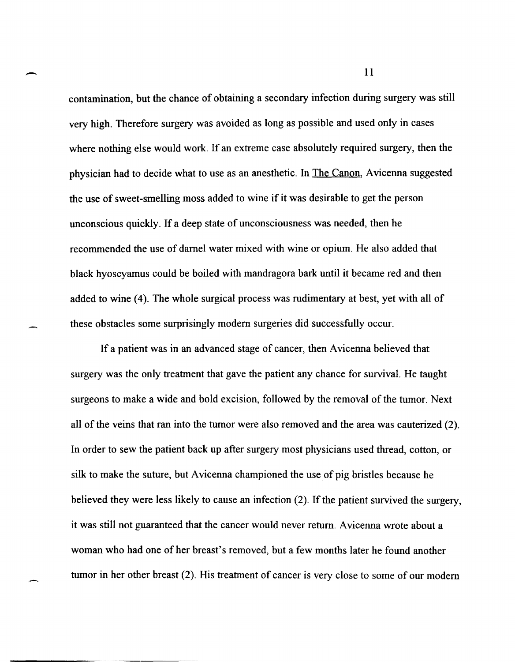contamination, but the chance of obtaining a secondary infection during surgery was still very high. Therefore surgery was avoided as long as possible and used only in cases where nothing else would work. If an extreme case absolutely required surgery, then the physician had to decide what to use as an anesthetic. In The Canon, Avicenna suggested the use of sweet-smelling moss added to wine if it was desirable to get the person unconscious quickly. If a deep state of unconsciousness was needed, then he recommended the use of darnel water mixed with wine or opium. He also added that black hyoscyamus could be boiled with mandragora bark until it became red and then added to wine (4). The whole surgical process was rudimentary at best, yet with all of these obstacles some surprisingly modem surgeries did successfully occur.

If a patient was in an advanced stage of cancer, then A vicenna believed that surgery was the only treatment that gave the patient any chance for survival. He taught surgeons to make a wide and bold excision, followed by the removal of the tumor. Next all of the veins that ran into the tumor were also removed and the area was cauterized (2). In order to sew the patient back up after surgery most physicians used thread, cotton, or silk to make the suture, but Avicenna championed the use of pig bristles because he believed they were less likely to cause an infection (2). If the patient survived the surgery, it was still not guaranteed that the cancer would never return. A vicenna wrote about a woman who had one of her breast's removed, but a few months later he found another tumor in her other breast (2). His treatment of cancer is very close to some of our modem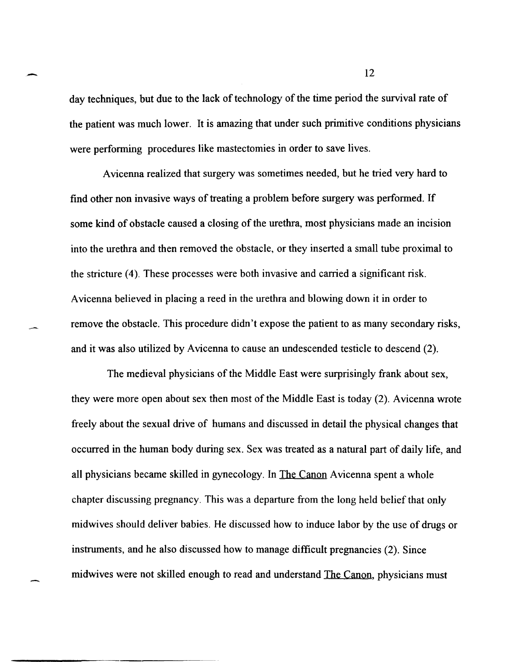day techniques, but due to the lack of technology of the time period the survival rate of the patient was much lower. It is amazing that under such primitive conditions physicians were performing procedures like mastectomies in order to save lives.

Avicenna realized that surgery was sometimes needed, but he tried very hard to find other non invasive ways of treating a problem before surgery was performed. If some kind of obstacle caused a closing of the urethra, most physicians made an incision into the urethra and then removed the obstacle, or they inserted a small tube proximal to the stricture (4). These processes were both invasive and carried a significant risk. A vicenna believed in placing a reed in the urethra and blowing down it in order to remove the obstacle. This procedure didn't expose the patient to as many secondary risks, and it was also utilized by Avicenna to cause an undescended testicle to descend (2).

The medieval physicians of the Middle East were surprisingly frank about sex, they were more open about sex then most of the Middle East is today (2). A vicenna wrote freely about the sexual drive of humans and discussed in detail the physical changes that occurred in the human body during sex. Sex was treated as a natural part of daily life, and all physicians became skilled in gynecology. In The Canon Avicenna spent a whole chapter discussing pregnancy. This was a departure from the long held belief that only midwives should deliver babies. He discussed how to induce labor by the use of drugs or instruments, and he also discussed how to manage difficult pregnancies (2). Since midwives were not skilled enough to read and understand The Canon, physicians must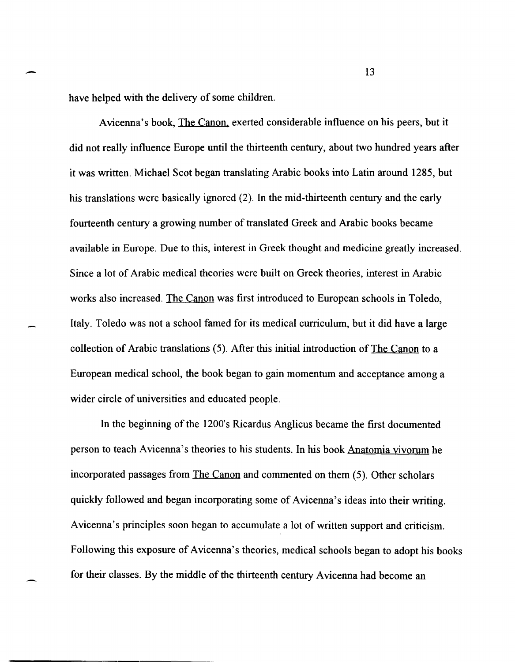have helped with the delivery of some children.

Avicenna's book, The Canon, exerted considerable influence on his peers, but it did not really influence Europe until the thirteenth century, about two hundred years after it was written. Michael Scot began translating Arabic books into Latin around 1285, but his translations were basically ignored (2). In the mid-thirteenth century and the early fourteenth century a growing number of translated Greek and Arabic books became available in Europe. Due to this, interest in Greek thought and medicine greatly increased. Since a lot of Arabic medical theories were built on Greek theories, interest in Arabic works also increased. The Canon was first introduced to European schools in Toledo, Italy. Toledo was not a school famed for its medical curriculum, but it did have a large collection of Arabic translations (5). After this initial introduction of The Canon to a European medical school, the book began to gain momentum and acceptance among a wider circle of universities and educated people.

In the beginning of the 1200's Ricardus Anglicus became the first documented person to teach Avicenna's theories to his students. In his book Anatomia vivorum he incorporated passages from The Canon and commented on them (5). Other scholars quickly followed and began incorporating some of Avicenna's ideas into their writing. A vicenna's principles soon began to accumulate a lot of written support and criticism. Following this exposure of Avicenna's theories, medical schools began to adopt his books for their classes. By the middle of the thirteenth century A vicenna had become an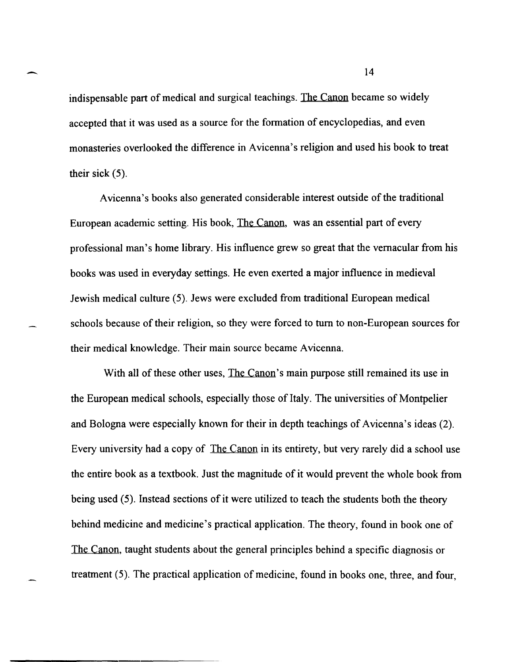indispensable part of medical and surgical teachings. The Canon became so widely accepted that it was used as a source for the formation of encyclopedias, and even monasteries overlooked the difference in Avicenna's religion and used his book to treat their sick (5).

A vicenna's books also generated considerable interest outside of the traditional European academic setting. His book, The Canon, was an essential part of every professional man's home library. His influence grew so great that the vernacular from his books was used in everyday settings. He even exerted a major influence in medieval Jewish medical culture (5). Jews were excluded from traditional European medical schools because of their religion, so they were forced to tum to non-European sources for their medical knowledge. Their main source became A vicenna.

With all of these other uses, The Canon's main purpose still remained its use in the European medical schools, especially those of Italy. The universities of Montpelier and Bologna were especially known for their in depth teachings of Avicenna's ideas (2). Every university had a copy of The Canon in its entirety, but very rarely did a school use the entire book as a textbook. Just the magnitude of it would prevent the whole book from being used (5). Instead sections of it were utilized to teach the students both the theory behind medicine and medicine's practical application. The theory, found in book one of The Canon, taught students about the general principles behind a specific diagnosis or treatment (5). The practical application of medicine, found in books one, three, and four,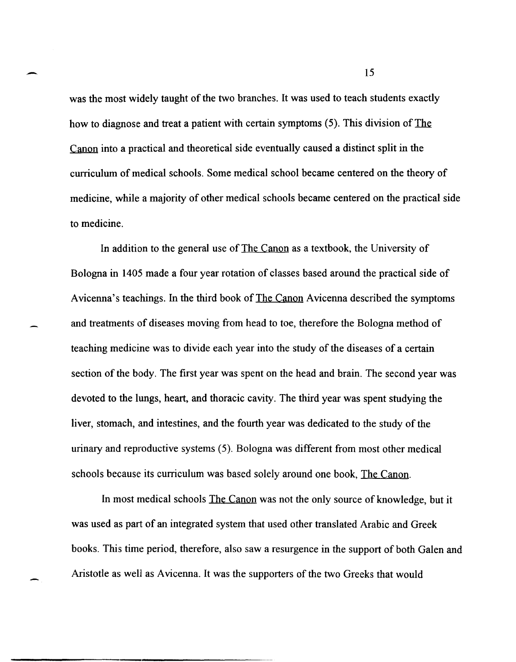was the most widely taught of the two branches. It was used to teach students exactly how to diagnose and treat a patient with certain symptoms (5). This division of The Canon into a practical and theoretical side eventually caused a distinct split in the curriculum of medical schools. Some medical school became centered on the theory of medicine, while a majority of other medical schools became centered on the practical side to medicine.

In addition to the general use of The Canon as a textbook, the University of Bologna in 1405 made a four year rotation of classes based around the practical side of Avicenna's teachings. In the third book of The Canon Avicenna described the symptoms and treatments of diseases moving from head to toe, therefore the Bologna method of teaching medicine was to divide each year into the study of the diseases of a certain section of the body. The first year was spent on the head and brain. The second year was devoted to the lungs, heart, and thoracic cavity. The third year was spent studying the liver, stomach, and intestines, and the fourth year was dedicated to the study of the urinary and reproductive systems (5). Bologna was different from most other medical schools because its curriculum was based solely around one book, The Canon.

In most medical schools The Canon was not the only source of knowledge, but it was used as part of an integrated system that used other translated Arabic and Greek books. This time period, therefore, also saw a resurgence in the support of both Galen and Aristotle as well as A vicenna. It was the supporters of the two Greeks that would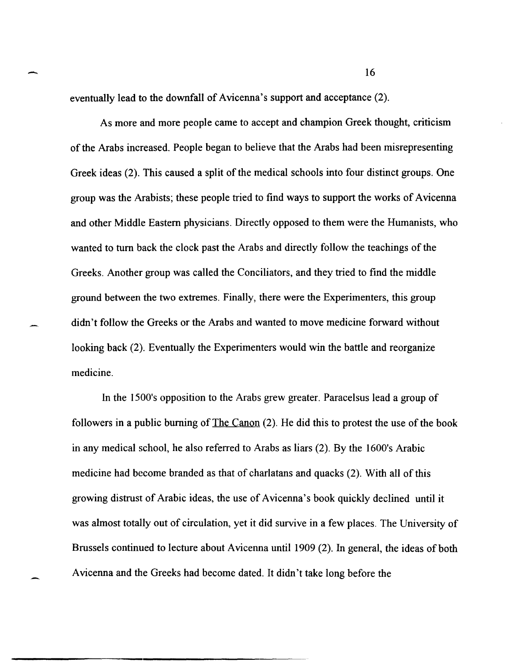eventually lead to the downfall of Avicenna's support and acceptance (2).

As more and more people came to accept and champion Greek thought, criticism of the Arabs increased. People began to believe that the Arabs had been misrepresenting Greek ideas (2). This caused a split of the medical schools into four distinct groups. One group was the Arabists; these people tried to find ways to support the works of A vicenna and other Middle Eastern physicians. Directly opposed to them were the Humanists, who wanted to tum back the clock past the Arabs and directly follow the teachings of the Greeks. Another group was called the Conciliators, and they tried to fmd the middle ground between the two extremes. Finally, there were the Experimenters, this group didn't follow the Greeks or the Arabs and wanted to move medicine forward without looking back (2). Eventually the Experimenters would win the battle and reorganize medicine.

In the 1500's opposition to the Arabs grew greater. Paracelsus lead a group of followers in a public burning of The Canon (2). He did this to protest the use of the book in any medical school, he also referred to Arabs as liars (2). By the 1600's Arabic medicine had become branded as that of charlatans and quacks (2). With all of this growing distrust of Arabic ideas, the use of Avicenna's book quickly declined until it was almost totally out of circulation, yet it did survive in a few places. The University of Brussels continued to lecture about Avicenna until 1909 (2). In general, the ideas of both Avicenna and the Greeks had become dated. It didn't take long before the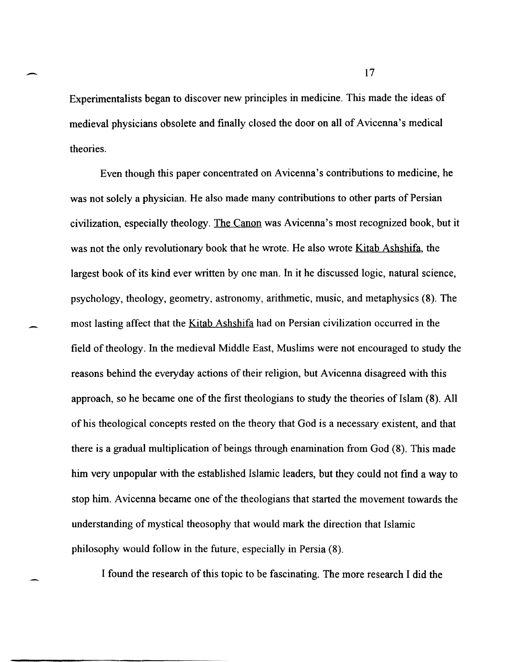Experimentalists began to discover new principles in medicine. This made the ideas of medieval physicians obsolete and finally closed the door on all of Avicenna's medical theories.

Even though this paper concentrated on Avicenna's contributions to medicine, he was not solely a physician. He also made many contributions to other parts of Persian civilization, especially theology. The Canon was Avicenna's most recognized book, but it was not the only revolutionary book that he wrote. He also wrote <u>Kitab Ashshifa</u>, the largest book of its kind ever written by one man. In it he discussed logic, natural science, psychology, theology, geometry, astronomy, arithmetic, music, and metaphysics (8). The most lasting affect that the Kitab Ashshifa had on Persian civilization occurred in the field of theology. In the medieval Middle East, Muslims were not encouraged to study the reasons behind the everyday actions of their religion, but A vicenna disagreed with this approach, so he became one of the first theologians to study the theories of Islam (8). All of his theological concepts rested on the theory that God is a necessary existent, and that there is a gradual multiplication of beings through enamination from God (8). This made him very unpopular with the established Islamic leaders, but they could not find a way to stop him. A vicenna became one of the theologians that started the movement towards the understanding of mystical theosophy that would mark the direction that Islamic philosophy would follow in the future, especially in Persia (8).

I found the research of this topic to be fascinating. The more research I did the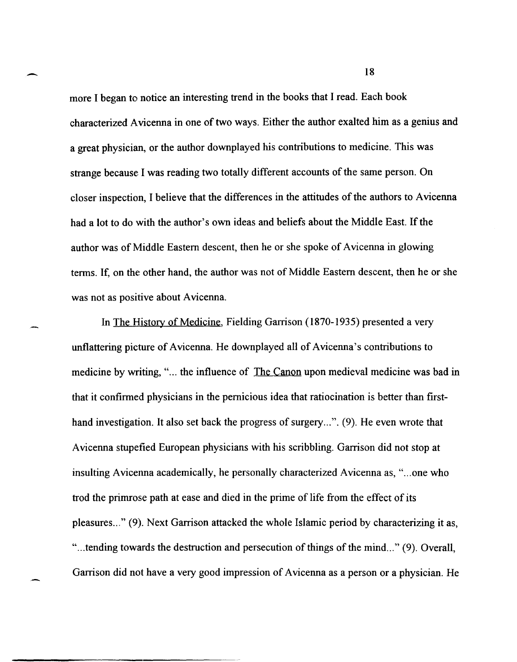more I began to notice an interesting trend in the books that I read. Each book characterized A vicenna in one of two ways. Either the author exalted him as a genius and a great physician, or the author downplayed his contributions to medicine. This was strange because I was reading two totally different accounts of the same person. On closer inspection, I believe that the differences in the attitudes of the authors to A vicenna had a lot to do with the author's own ideas and beliefs about the Middle East. If the author was of Middle Eastern descent, then he or she spoke of Avicenna in glowing terms. If, on the other hand, the author was not of Middle Eastern descent, then he or she was not as positive about Avicenna.

In The History of Medicine, Fielding Garrison (1870-1935) presented a very unflattering picture of Avicenna. He downplayed all of Avicenna's contributions to medicine by writing, "... the influence of The Canon upon medieval medicine was bad in that it confirmed physicians in the pernicious idea that ratiocination is better than firsthand investigation. It also set back the progress of surgery...". (9). He even wrote that A vicenna stupefied European physicians with his scribbling. Garrison did not stop at insulting Avicenna academically, he personally characterized Avicenna as, "...one who trod the primrose path at ease and died in the prime of life from the effect of its pleasures ... " (9). Next Garrison attacked the whole Islamic period by characterizing it as, "... tending towards the destruction and persecution of things of the mind..." (9). Overall, Garrison did not have a very good impression of A vicenna as a person or a physician. He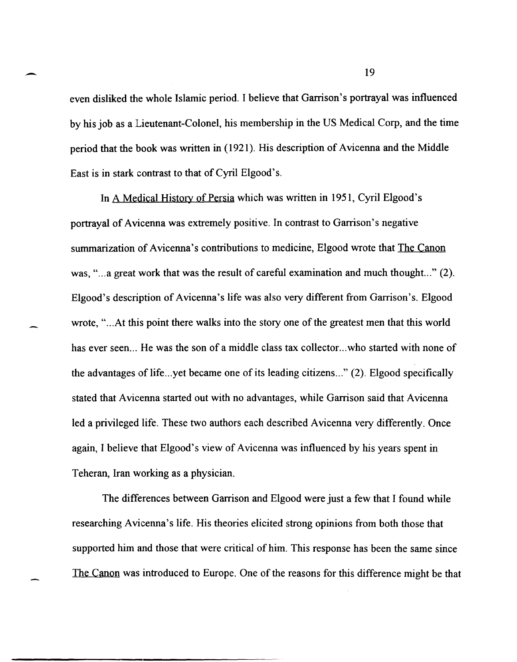even disliked the whole Islamic period. I believe that Garrison's portrayal was influenced by his job as a Lieutenant-Colonel, his membership in the US Medical Corp, and the time period that the book was written in (1921). His description of Avicenna and the Middle East is in stark contrast to that of Cyril Elgood's.

In A Medical History of Persia which was written in 1951, Cyril Elgood's portrayal of Avicenna was extremely positive. In contrast to Garrison's negative summarization of Avicenna's contributions to medicine, Elgood wrote that The Canon was, "... a great work that was the result of careful examination and much thought..." (2). Elgood's description of Avicenna's life was also very different from Garrison's. Elgood wrote, "... At this point there walks into the story one of the greatest men that this world has ever seen... He was the son of a middle class tax collector... who started with none of the advantages of life... yet became one of its leading citizens..." (2). Elgood specifically stated that A vicenna started out with no advantages, while Garrison said that A vicenna led a privileged life. These two authors each described A vicenna very differently. Once again, I believe that Elgood's view of Avicenna was influenced by his years spent in Teheran, Iran working as a physician.

The differences between Garrison and Elgood were just a few that I found while researching Avicenna's life. His theories elicited strong opinions from both those that supported him and those that were critical of him. This response has been the same since The Canon was introduced to Europe. One of the reasons for this difference might be that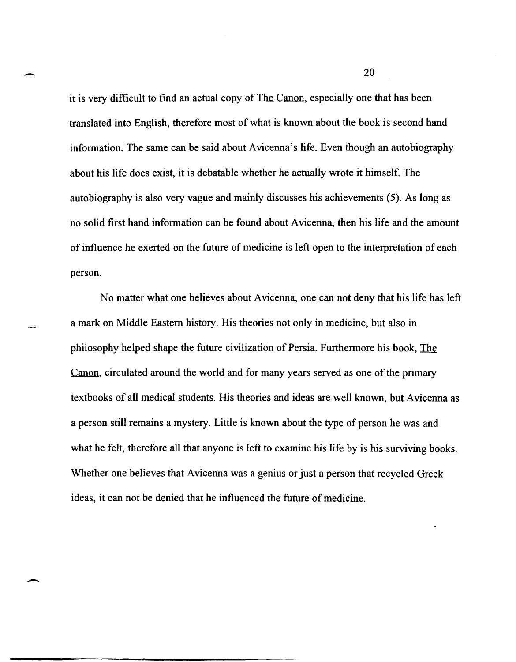it is very difficult to find an actual copy of <u>The Canon</u>, especially one that has been translated into English, therefore most of what is known about the book is second hand information. The same can be said about Avicenna's life. Even though an autobiography about his life does exist, it is debatable whether he actually wrote it himself. The autobiography is also very vague and mainly discusses his achievements (5). As long as no solid first hand information can be found about A vicenna, then his life and the amount of influence he exerted on the future of medicine is left open to the interpretation of each person.

--

-

No matter what one believes about A vicenna, one can not deny that his life has left a mark on Middle Eastern history. His theories not only in medicine, but also in philosophy helped shape the future civilization of Persia. Furthermore his book, The Canon, circulated around the world and for many years served as one of the primary textbooks of all medical students. His theories and ideas are well known, but A vicenna as a person still remains a mystery. Little is known about the type of person he was and what he felt, therefore all that anyone is left to examine his life by is his surviving books. Whether one believes that A vicenna was a genius or just a person that recycled Greek ideas, it can not be denied that he influenced the future of medicine.